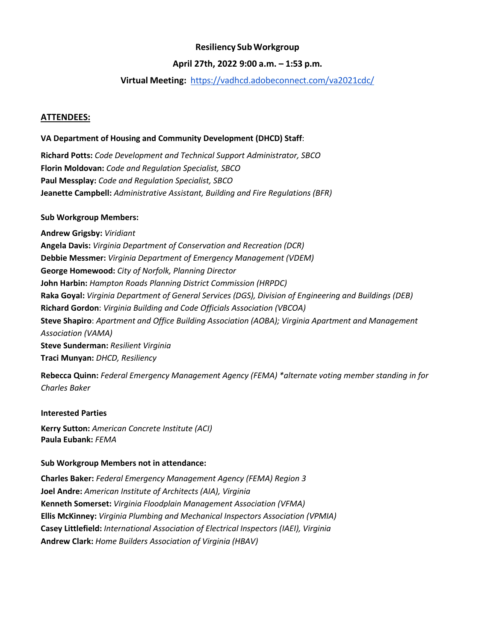# **Resiliency SubWorkgroup**

### **April 27th, 2022 9:00 a.m. – 1:53 p.m.**

## **Virtual Meeting:** <https://vadhcd.adobeconnect.com/va2021cdc/>

#### **ATTENDEES:**

### **VA Department of Housing and Community Development (DHCD) Staff**:

**Richard Potts:** *Code Development and Technical Support Administrator, SBCO* **Florin Moldovan:** *Code and Regulation Specialist, SBCO* **Paul Messplay:** *Code and Regulation Specialist, SBCO* **Jeanette Campbell:** *Administrative Assistant, Building and Fire Regulations (BFR)*

#### **Sub Workgroup Members:**

**Andrew Grigsby:** *Viridiant* **Angela Davis:** *Virginia Department of Conservation and Recreation (DCR)* **Debbie Messmer:** *Virginia Department of Emergency Management (VDEM)* **George Homewood:** *City of Norfolk, Planning Director* **John Harbin:** *Hampton Roads Planning District Commission (HRPDC)* **Raka Goyal:** *Virginia Department of General Services (DGS), Division of Engineering and Buildings (DEB)* **Richard Gordon**: *Virginia Building and Code Officials Association (VBCOA)* **Steve Shapiro**: *Apartment and Office Building Association (AOBA); Virginia Apartment and Management Association (VAMA)* **Steve Sunderman:** *Resilient Virginia* **Traci Munyan:** *DHCD, Resiliency*

**Rebecca Quinn:** *Federal Emergency Management Agency (FEMA) \*alternate voting member standing in for Charles Baker*

#### **Interested Parties**

**Kerry Sutton:** *American Concrete Institute (ACI)* **Paula Eubank:** *FEMA*

#### **Sub Workgroup Members not in attendance:**

**Charles Baker:** *Federal Emergency Management Agency (FEMA) Region 3* **Joel Andre:** *American Institute of Architects (AIA), Virginia* **Kenneth Somerset:** *Virginia Floodplain Management Association (VFMA)* **Ellis McKinney:** *Virginia Plumbing and Mechanical Inspectors Association (VPMIA)* **Casey Littlefield:** *International Association of Electrical Inspectors (IAEI), Virginia* **Andrew Clark:** *Home Builders Association of Virginia (HBAV)*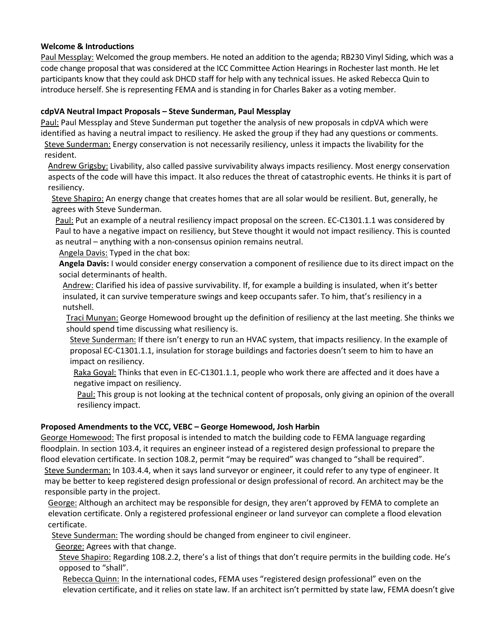### **Welcome & Introductions**

Paul Messplay: Welcomed the group members. He noted an addition to the agenda; RB230 Vinyl Siding, which was a code change proposal that was considered at the ICC Committee Action Hearings in Rochester last month. He let participants know that they could ask DHCD staff for help with any technical issues. He asked Rebecca Quin to introduce herself. She is representing FEMA and is standing in for Charles Baker as a voting member.

# **cdpVA Neutral Impact Proposals – Steve Sunderman, Paul Messplay**

Paul: Paul Messplay and Steve Sunderman put together the analysis of new proposals in cdpVA which were identified as having a neutral impact to resiliency. He asked the group if they had any questions or comments. Steve Sunderman: Energy conservation is not necessarily resiliency, unless it impacts the livability for the resident.

Andrew Grigsby: Livability, also called passive survivability always impacts resiliency. Most energy conservation aspects of the code will have this impact. It also reduces the threat of catastrophic events. He thinks it is part of resiliency.

Steve Shapiro: An energy change that creates homes that are all solar would be resilient. But, generally, he agrees with Steve Sunderman.

Paul: Put an example of a neutral resiliency impact proposal on the screen. EC-C1301.1.1 was considered by Paul to have a negative impact on resiliency, but Steve thought it would not impact resiliency. This is counted as neutral – anything with a non-consensus opinion remains neutral.

Angela Davis: Typed in the chat box:

**Angela Davis:** I would consider energy conservation a component of resilience due to its direct impact on the social determinants of health.

Andrew: Clarified his idea of passive survivability. If, for example a building is insulated, when it's better insulated, it can survive temperature swings and keep occupants safer. To him, that's resiliency in a nutshell.

Traci Munyan: George Homewood brought up the definition of resiliency at the last meeting. She thinks we should spend time discussing what resiliency is.

Steve Sunderman: If there isn't energy to run an HVAC system, that impacts resiliency. In the example of proposal EC-C1301.1.1, insulation for storage buildings and factories doesn't seem to him to have an impact on resiliency.

Raka Goyal: Thinks that even in EC-C1301.1.1, people who work there are affected and it does have a negative impact on resiliency.

Paul: This group is not looking at the technical content of proposals, only giving an opinion of the overall resiliency impact.

# **Proposed Amendments to the VCC, VEBC – George Homewood, Josh Harbin**

George Homewood: The first proposal is intended to match the building code to FEMA language regarding floodplain. In section 103.4, it requires an engineer instead of a registered design professional to prepare the flood elevation certificate. In section 108.2, permit "may be required" was changed to "shall be required".

Steve Sunderman: In 103.4.4, when it says land surveyor or engineer, it could refer to any type of engineer. It may be better to keep registered design professional or design professional of record. An architect may be the responsible party in the project.

George: Although an architect may be responsible for design, they aren't approved by FEMA to complete an elevation certificate. Only a registered professional engineer or land surveyor can complete a flood elevation certificate.

Steve Sunderman: The wording should be changed from engineer to civil engineer.

George: Agrees with that change.

Steve Shapiro: Regarding 108.2.2, there's a list of things that don't require permits in the building code. He's opposed to "shall".

Rebecca Quinn: In the international codes, FEMA uses "registered design professional" even on the elevation certificate, and it relies on state law. If an architect isn't permitted by state law, FEMA doesn't give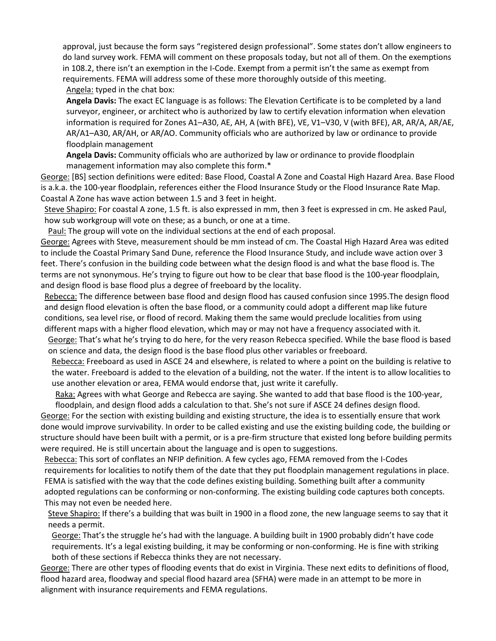approval, just because the form says "registered design professional". Some states don't allow engineers to do land survey work. FEMA will comment on these proposals today, but not all of them. On the exemptions in 108.2, there isn't an exemption in the I-Code. Exempt from a permit isn't the same as exempt from requirements. FEMA will address some of these more thoroughly outside of this meeting. Angela: typed in the chat box:

**Angela Davis:** The exact EC language is as follows: The Elevation Certificate is to be completed by a land surveyor, engineer, or architect who is authorized by law to certify elevation information when elevation information is required for Zones A1–A30, AE, AH, A (with BFE), VE, V1–V30, V (with BFE), AR, AR/A, AR/AE, AR/A1–A30, AR/AH, or AR/AO. Community officials who are authorized by law or ordinance to provide floodplain management

**Angela Davis:** Community officials who are authorized by law or ordinance to provide floodplain management information may also complete this form.\*

George: [BS] section definitions were edited: Base Flood, Coastal A Zone and Coastal High Hazard Area. Base Flood is a.k.a. the 100-year floodplain, references either the Flood Insurance Study or the Flood Insurance Rate Map. Coastal A Zone has wave action between 1.5 and 3 feet in height.

Steve Shapiro: For coastal A zone, 1.5 ft. is also expressed in mm, then 3 feet is expressed in cm. He asked Paul, how sub workgroup will vote on these; as a bunch, or one at a time.

Paul: The group will vote on the individual sections at the end of each proposal.

George: Agrees with Steve, measurement should be mm instead of cm. The Coastal High Hazard Area was edited to include the Coastal Primary Sand Dune, reference the Flood Insurance Study, and include wave action over 3 feet. There's confusion in the building code between what the design flood is and what the base flood is. The terms are not synonymous. He's trying to figure out how to be clear that base flood is the 100-year floodplain, and design flood is base flood plus a degree of freeboard by the locality.

Rebecca: The difference between base flood and design flood has caused confusion since 1995.The design flood and design flood elevation is often the base flood, or a community could adopt a different map like future conditions, sea level rise, or flood of record. Making them the same would preclude localities from using different maps with a higher flood elevation, which may or may not have a frequency associated with it.

George: That's what he's trying to do here, for the very reason Rebecca specified. While the base flood is based on science and data, the design flood is the base flood plus other variables or freeboard.

Rebecca: Freeboard as used in ASCE 24 and elsewhere, is related to where a point on the building is relative to the water. Freeboard is added to the elevation of a building, not the water. If the intent is to allow localities to use another elevation or area, FEMA would endorse that, just write it carefully.

Raka: Agrees with what George and Rebecca are saying. She wanted to add that base flood is the 100-year, floodplain, and design flood adds a calculation to that. She's not sure if ASCE 24 defines design flood.

George: For the section with existing building and existing structure, the idea is to essentially ensure that work done would improve survivability. In order to be called existing and use the existing building code, the building or structure should have been built with a permit, or is a pre-firm structure that existed long before building permits were required. He is still uncertain about the language and is open to suggestions.

Rebecca: This sort of conflates an NFIP definition. A few cycles ago, FEMA removed from the I-Codes requirements for localities to notify them of the date that they put floodplain management regulations in place. FEMA is satisfied with the way that the code defines existing building. Something built after a community adopted regulations can be conforming or non-conforming. The existing building code captures both concepts. This may not even be needed here.

Steve Shapiro: If there's a building that was built in 1900 in a flood zone, the new language seems to say that it needs a permit.

George: That's the struggle he's had with the language. A building built in 1900 probably didn't have code requirements. It's a legal existing building, it may be conforming or non-conforming. He is fine with striking both of these sections if Rebecca thinks they are not necessary.

George: There are other types of flooding events that do exist in Virginia. These next edits to definitions of flood, flood hazard area, floodway and special flood hazard area (SFHA) were made in an attempt to be more in alignment with insurance requirements and FEMA regulations.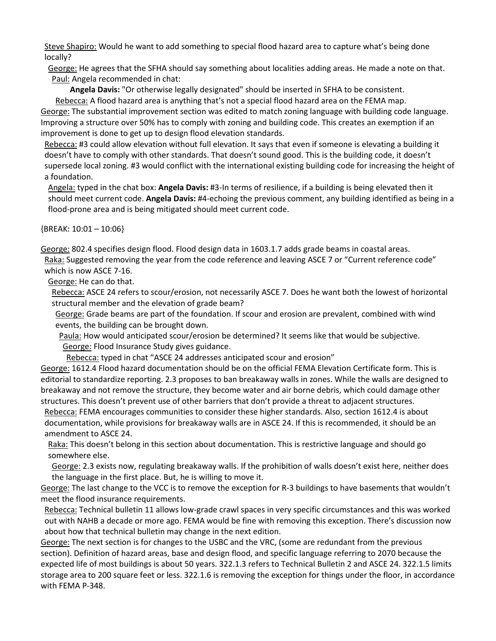Steve Shapiro: Would he want to add something to special flood hazard area to capture what's being done locally?

George: He agrees that the SFHA should say something about localities adding areas. He made a note on that. Paul: Angela recommended in chat:

**Angela Davis:** "Or otherwise legally designated" should be inserted in SFHA to be consistent. Rebecca: A flood hazard area is anything that's not a special flood hazard area on the FEMA map. George: The substantial improvement section was edited to match zoning language with building code language. Improving a structure over 50% has to comply with zoning and building code. This creates an exemption if an improvement is done to get up to design flood elevation standards.

Rebecca: #3 could allow elevation without full elevation. It says that even if someone is elevating a building it doesn't have to comply with other standards. That doesn't sound good. This is the building code, it doesn't supersede local zoning. #3 would conflict with the international existing building code for increasing the height of a foundation.

Angela: typed in the chat box: **Angela Davis:** #3-In terms of resilience, if a building is being elevated then it should meet current code. **Angela Davis:** #4-echoing the previous comment, any building identified as being in a flood-prone area and is being mitigated should meet current code.

{BREAK: 10:01 – 10:06}

George: 802.4 specifies design flood. Flood design data in 1603.1.7 adds grade beams in coastal areas. Raka: Suggested removing the year from the code reference and leaving ASCE 7 or "Current reference code" which is now ASCE 7-16.

George: He can do that.

Rebecca: ASCE 24 refers to scour/erosion, not necessarily ASCE 7. Does he want both the lowest of horizontal structural member and the elevation of grade beam?

George: Grade beams are part of the foundation. If scour and erosion are prevalent, combined with wind events, the building can be brought down.

Paula: How would anticipated scour/erosion be determined? It seems like that would be subjective. George: Flood Insurance Study gives guidance.

Rebecca: typed in chat "ASCE 24 addresses anticipated scour and erosion"

George: 1612.4 Flood hazard documentation should be on the official FEMA Elevation Certificate form. This is editorial to standardize reporting. 2.3 proposes to ban breakaway walls in zones. While the walls are designed to breakaway and not remove the structure, they become water and air borne debris, which could damage other structures. This doesn't prevent use of other barriers that don't provide a threat to adjacent structures.

Rebecca: FEMA encourages communities to consider these higher standards. Also, section 1612.4 is about documentation, while provisions for breakaway walls are in ASCE 24. If this is recommended, it should be an amendment to ASCE 24.

Raka: This doesn't belong in this section about documentation. This is restrictive language and should go somewhere else.

George: 2.3 exists now, regulating breakaway walls. If the prohibition of walls doesn't exist here, neither does the language in the first place. But, he is willing to move it.

George: The last change to the VCC is to remove the exception for R-3 buildings to have basements that wouldn't meet the flood insurance requirements.

Rebecca: Technical bulletin 11 allows low-grade crawl spaces in very specific circumstances and this was worked out with NAHB a decade or more ago. FEMA would be fine with removing this exception. There's discussion now about how that technical bulletin may change in the next edition.

George: The next section is for changes to the USBC and the VRC, (some are redundant from the previous section). Definition of hazard areas, base and design flood, and specific language referring to 2070 because the expected life of most buildings is about 50 years. 322.1.3 refers to Technical Bulletin 2 and ASCE 24. 322.1.5 limits storage area to 200 square feet or less. 322.1.6 is removing the exception for things under the floor, in accordance with FEMA P-348.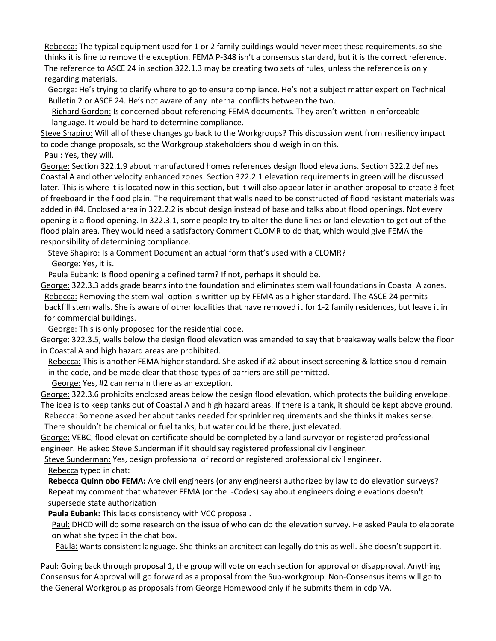Rebecca: The typical equipment used for 1 or 2 family buildings would never meet these requirements, so she thinks it is fine to remove the exception. FEMA P-348 isn't a consensus standard, but it is the correct reference. The reference to ASCE 24 in section 322.1.3 may be creating two sets of rules, unless the reference is only regarding materials.

George: He's trying to clarify where to go to ensure compliance. He's not a subject matter expert on Technical Bulletin 2 or ASCE 24. He's not aware of any internal conflicts between the two.

Richard Gordon: Is concerned about referencing FEMA documents. They aren't written in enforceable language. It would be hard to determine compliance.

Steve Shapiro: Will all of these changes go back to the Workgroups? This discussion went from resiliency impact to code change proposals, so the Workgroup stakeholders should weigh in on this.

Paul: Yes, they will.

George: Section 322.1.9 about manufactured homes references design flood elevations. Section 322.2 defines Coastal A and other velocity enhanced zones. Section 322.2.1 elevation requirements in green will be discussed later. This is where it is located now in this section, but it will also appear later in another proposal to create 3 feet of freeboard in the flood plain. The requirement that walls need to be constructed of flood resistant materials was added in #4. Enclosed area in 322.2.2 is about design instead of base and talks about flood openings. Not every opening is a flood opening. In 322.3.1, some people try to alter the dune lines or land elevation to get out of the flood plain area. They would need a satisfactory Comment CLOMR to do that, which would give FEMA the responsibility of determining compliance.

Steve Shapiro: Is a Comment Document an actual form that's used with a CLOMR? George: Yes, it is.

Paula Eubank: Is flood opening a defined term? If not, perhaps it should be.

George: 322.3.3 adds grade beams into the foundation and eliminates stem wall foundations in Coastal A zones. Rebecca: Removing the stem wall option is written up by FEMA as a higher standard. The ASCE 24 permits backfill stem walls. She is aware of other localities that have removed it for 1-2 family residences, but leave it in for commercial buildings.

George: This is only proposed for the residential code.

George: 322.3.5, walls below the design flood elevation was amended to say that breakaway walls below the floor in Coastal A and high hazard areas are prohibited.

Rebecca: This is another FEMA higher standard. She asked if #2 about insect screening & lattice should remain in the code, and be made clear that those types of barriers are still permitted.

George: Yes, #2 can remain there as an exception.

George: 322.3.6 prohibits enclosed areas below the design flood elevation, which protects the building envelope. The idea is to keep tanks out of Coastal A and high hazard areas. If there is a tank, it should be kept above ground.

Rebecca: Someone asked her about tanks needed for sprinkler requirements and she thinks it makes sense. There shouldn't be chemical or fuel tanks, but water could be there, just elevated.

George: VEBC, flood elevation certificate should be completed by a land surveyor or registered professional engineer. He asked Steve Sunderman if it should say registered professional civil engineer.

Steve Sunderman: Yes, design professional of record or registered professional civil engineer.

Rebecca typed in chat:

**Rebecca Quinn obo FEMA:** Are civil engineers (or any engineers) authorized by law to do elevation surveys? Repeat my comment that whatever FEMA (or the I-Codes) say about engineers doing elevations doesn't supersede state authorization

**Paula Eubank:** This lacks consistency with VCC proposal.

Paul: DHCD will do some research on the issue of who can do the elevation survey. He asked Paula to elaborate on what she typed in the chat box.

Paula: wants consistent language. She thinks an architect can legally do this as well. She doesn't support it.

Paul: Going back through proposal 1, the group will vote on each section for approval or disapproval. Anything Consensus for Approval will go forward as a proposal from the Sub-workgroup. Non-Consensus items will go to the General Workgroup as proposals from George Homewood only if he submits them in cdp VA.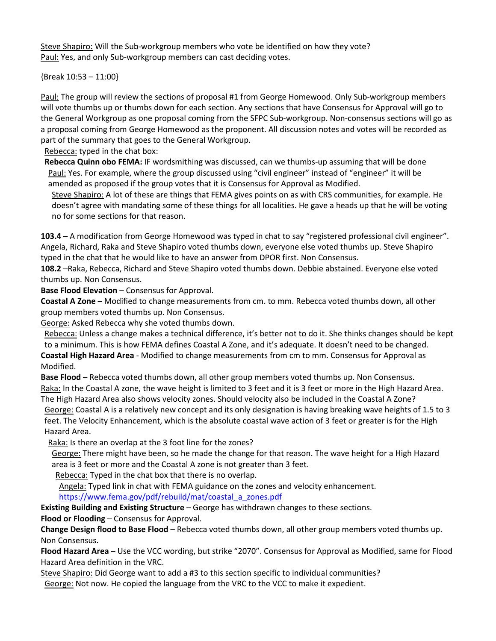Steve Shapiro: Will the Sub-workgroup members who vote be identified on how they vote? Paul: Yes, and only Sub-workgroup members can cast deciding votes.

{Break 10:53 – 11:00}

Paul: The group will review the sections of proposal #1 from George Homewood. Only Sub-workgroup members will vote thumbs up or thumbs down for each section. Any sections that have Consensus for Approval will go to the General Workgroup as one proposal coming from the SFPC Sub-workgroup. Non-consensus sections will go as a proposal coming from George Homewood as the proponent. All discussion notes and votes will be recorded as part of the summary that goes to the General Workgroup.

Rebecca: typed in the chat box:

**Rebecca Quinn obo FEMA:** IF wordsmithing was discussed, can we thumbs-up assuming that will be done Paul: Yes. For example, where the group discussed using "civil engineer" instead of "engineer" it will be amended as proposed if the group votes that it is Consensus for Approval as Modified.

Steve Shapiro: A lot of these are things that FEMA gives points on as with CRS communities, for example. He doesn't agree with mandating some of these things for all localities. He gave a heads up that he will be voting no for some sections for that reason.

**103.4** – A modification from George Homewood was typed in chat to say "registered professional civil engineer". Angela, Richard, Raka and Steve Shapiro voted thumbs down, everyone else voted thumbs up. Steve Shapiro typed in the chat that he would like to have an answer from DPOR first. Non Consensus.

**108.2** –Raka, Rebecca, Richard and Steve Shapiro voted thumbs down. Debbie abstained. Everyone else voted thumbs up. Non Consensus.

**Base Flood Elevation** – Consensus for Approval.

**Coastal A Zone** – Modified to change measurements from cm. to mm. Rebecca voted thumbs down, all other group members voted thumbs up. Non Consensus.

George: Asked Rebecca why she voted thumbs down.

Rebecca: Unless a change makes a technical difference, it's better not to do it. She thinks changes should be kept to a minimum. This is how FEMA defines Coastal A Zone, and it's adequate. It doesn't need to be changed.

**Coastal High Hazard Area** - Modified to change measurements from cm to mm. Consensus for Approval as Modified.

**Base Flood** – Rebecca voted thumbs down, all other group members voted thumbs up. Non Consensus. Raka: In the Coastal A zone, the wave height is limited to 3 feet and it is 3 feet or more in the High Hazard Area. The High Hazard Area also shows velocity zones. Should velocity also be included in the Coastal A Zone? George: Coastal A is a relatively new concept and its only designation is having breaking wave heights of 1.5 to 3 feet. The Velocity Enhancement, which is the absolute coastal wave action of 3 feet or greater is for the High Hazard Area.

Raka: Is there an overlap at the 3 foot line for the zones?

George: There might have been, so he made the change for that reason. The wave height for a High Hazard area is 3 feet or more and the Coastal A zone is not greater than 3 feet.

Rebecca: Typed in the chat box that there is no overlap.

Angela: Typed link in chat with FEMA guidance on the zones and velocity enhancement. [https://www.fema.gov/pdf/rebuild/mat/coastal\\_a\\_zones.pdf](https://www.fema.gov/pdf/rebuild/mat/coastal_a_zones.pdf)

**Existing Building and Existing Structure** – George has withdrawn changes to these sections. **Flood or Flooding** – Consensus for Approval.

**Change Design flood to Base Flood** – Rebecca voted thumbs down, all other group members voted thumbs up. Non Consensus.

**Flood Hazard Area** – Use the VCC wording, but strike "2070". Consensus for Approval as Modified, same for Flood Hazard Area definition in the VRC.

Steve Shapiro: Did George want to add a #3 to this section specific to individual communities? George: Not now. He copied the language from the VRC to the VCC to make it expedient.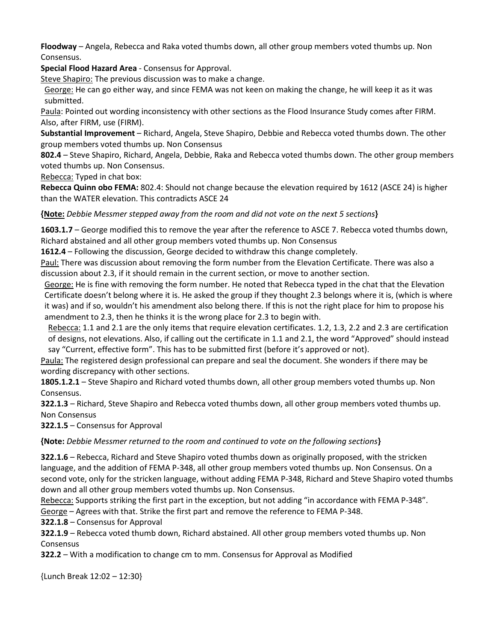**Floodway** – Angela, Rebecca and Raka voted thumbs down, all other group members voted thumbs up. Non Consensus.

**Special Flood Hazard Area** - Consensus for Approval.

Steve Shapiro: The previous discussion was to make a change.

George: He can go either way, and since FEMA was not keen on making the change, he will keep it as it was submitted.

Paula: Pointed out wording inconsistency with other sections as the Flood Insurance Study comes after FIRM. Also, after FIRM, use (FIRM).

**Substantial Improvement** – Richard, Angela, Steve Shapiro, Debbie and Rebecca voted thumbs down. The other group members voted thumbs up. Non Consensus

**802.4** – Steve Shapiro, Richard, Angela, Debbie, Raka and Rebecca voted thumbs down. The other group members voted thumbs up. Non Consensus.

Rebecca: Typed in chat box:

**Rebecca Quinn obo FEMA:** 802.4: Should not change because the elevation required by 1612 (ASCE 24) is higher than the WATER elevation. This contradicts ASCE 24

**{Note:** *Debbie Messmer stepped away from the room and did not vote on the next 5 sections***}**

**1603.1.7** – George modified this to remove the year after the reference to ASCE 7. Rebecca voted thumbs down, Richard abstained and all other group members voted thumbs up. Non Consensus

**1612.4** – Following the discussion, George decided to withdraw this change completely.

Paul: There was discussion about removing the form number from the Elevation Certificate. There was also a discussion about 2.3, if it should remain in the current section, or move to another section.

George: He is fine with removing the form number. He noted that Rebecca typed in the chat that the Elevation Certificate doesn't belong where it is. He asked the group if they thought 2.3 belongs where it is, (which is where it was) and if so, wouldn't his amendment also belong there. If this is not the right place for him to propose his amendment to 2.3, then he thinks it is the wrong place for 2.3 to begin with.

Rebecca: 1.1 and 2.1 are the only items that require elevation certificates. 1.2, 1.3, 2.2 and 2.3 are certification of designs, not elevations. Also, if calling out the certificate in 1.1 and 2.1, the word "Approved" should instead say "Current, effective form". This has to be submitted first (before it's approved or not).

Paula: The registered design professional can prepare and seal the document. She wonders if there may be wording discrepancy with other sections.

**1805.1.2.1** – Steve Shapiro and Richard voted thumbs down, all other group members voted thumbs up. Non Consensus.

**322.1.3** – Richard, Steve Shapiro and Rebecca voted thumbs down, all other group members voted thumbs up. Non Consensus

**322.1.5** – Consensus for Approval

**{Note:** *Debbie Messmer returned to the room and continued to vote on the following sections***}** 

**322.1.6** – Rebecca, Richard and Steve Shapiro voted thumbs down as originally proposed, with the stricken language, and the addition of FEMA P-348, all other group members voted thumbs up. Non Consensus. On a second vote, only for the stricken language, without adding FEMA P-348, Richard and Steve Shapiro voted thumbs down and all other group members voted thumbs up. Non Consensus.

Rebecca: Supports striking the first part in the exception, but not adding "in accordance with FEMA P-348".

George – Agrees with that. Strike the first part and remove the reference to FEMA P-348.

**322.1.8** – Consensus for Approval

**322.1.9** – Rebecca voted thumb down, Richard abstained. All other group members voted thumbs up. Non Consensus

**322.2** – With a modification to change cm to mm. Consensus for Approval as Modified

{Lunch Break 12:02 – 12:30}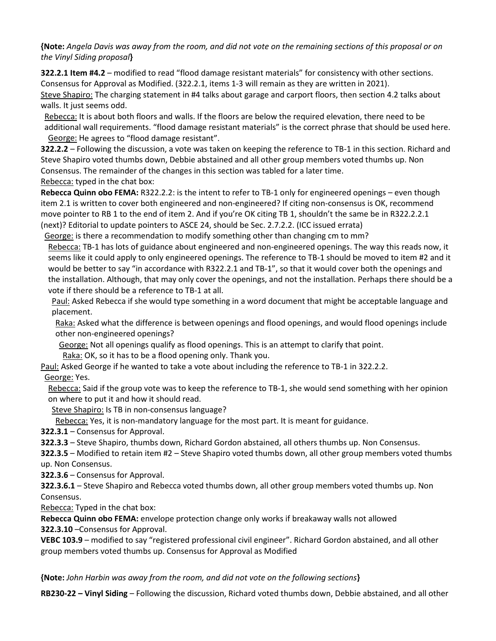**{Note:** *Angela Davis was away from the room, and did not vote on the remaining sections of this proposal or on the Vinyl Siding proposal***}** 

**322.2.1 Item #4.2** – modified to read "flood damage resistant materials" for consistency with other sections. Consensus for Approval as Modified. (322.2.1, items 1-3 will remain as they are written in 2021).

Steve Shapiro: The charging statement in #4 talks about garage and carport floors, then section 4.2 talks about walls. It just seems odd.

Rebecca: It is about both floors and walls. If the floors are below the required elevation, there need to be additional wall requirements. "flood damage resistant materials" is the correct phrase that should be used here. George: He agrees to "flood damage resistant".

**322.2.2** – Following the discussion, a vote was taken on keeping the reference to TB-1 in this section. Richard and Steve Shapiro voted thumbs down, Debbie abstained and all other group members voted thumbs up. Non Consensus. The remainder of the changes in this section was tabled for a later time. Rebecca: typed in the chat box:

**Rebecca Quinn obo FEMA:** R322.2.2: is the intent to refer to TB-1 only for engineered openings – even though item 2.1 is written to cover both engineered and non-engineered? If citing non-consensus is OK, recommend move pointer to RB 1 to the end of item 2. And if you're OK citing TB 1, shouldn't the same be in R322.2.2.1 (next)? Editorial to update pointers to ASCE 24, should be Sec. 2.7.2.2. (ICC issued errata)

George: is there a recommendation to modify something other than changing cm to mm? Rebecca: TB-1 has lots of guidance about engineered and non-engineered openings. The way this reads now, it seems like it could apply to only engineered openings. The reference to TB-1 should be moved to item #2 and it would be better to say "in accordance with R322.2.1 and TB-1", so that it would cover both the openings and the installation. Although, that may only cover the openings, and not the installation. Perhaps there should be a vote if there should be a reference to TB-1 at all.

Paul: Asked Rebecca if she would type something in a word document that might be acceptable language and placement.

Raka: Asked what the difference is between openings and flood openings, and would flood openings include other non-engineered openings?

George: Not all openings qualify as flood openings. This is an attempt to clarify that point.

Raka: OK, so it has to be a flood opening only. Thank you.

Paul: Asked George if he wanted to take a vote about including the reference to TB-1 in 322.2.2. George: Yes.

Rebecca: Said if the group vote was to keep the reference to TB-1, she would send something with her opinion on where to put it and how it should read.

Steve Shapiro: Is TB in non-consensus language?

Rebecca: Yes, it is non-mandatory language for the most part. It is meant for guidance.

**322.3.1** – Consensus for Approval.

**322.3.3** – Steve Shapiro, thumbs down, Richard Gordon abstained, all others thumbs up. Non Consensus.

**322.3.5** – Modified to retain item #2 – Steve Shapiro voted thumbs down, all other group members voted thumbs up. Non Consensus.

**322.3.6** – Consensus for Approval.

**322.3.6.1** – Steve Shapiro and Rebecca voted thumbs down, all other group members voted thumbs up. Non Consensus.

Rebecca: Typed in the chat box:

**Rebecca Quinn obo FEMA:** envelope protection change only works if breakaway walls not allowed

**322.3.10** –Consensus for Approval.

**VEBC 103.9** – modified to say "registered professional civil engineer". Richard Gordon abstained, and all other group members voted thumbs up. Consensus for Approval as Modified

**{Note:** *John Harbin was away from the room, and did not vote on the following sections***}** 

**RB230-22 – Vinyl Siding** – Following the discussion, Richard voted thumbs down, Debbie abstained, and all other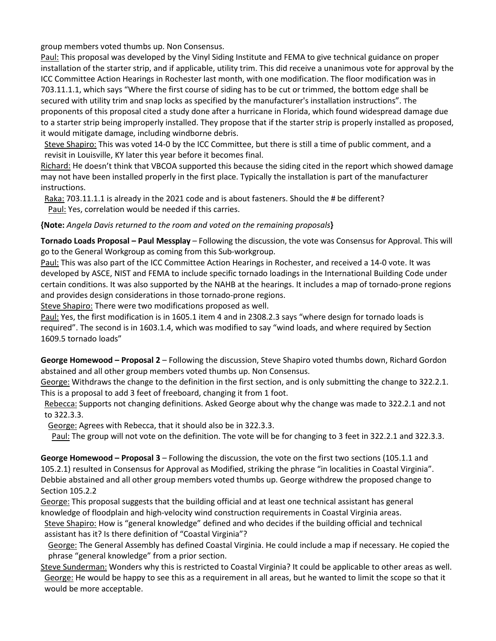group members voted thumbs up. Non Consensus.

Paul: This proposal was developed by the Vinyl Siding Institute and FEMA to give technical guidance on proper installation of the starter strip, and if applicable, utility trim. This did receive a unanimous vote for approval by the ICC Committee Action Hearings in Rochester last month, with one modification. The floor modification was in 703.11.1.1, which says "Where the first course of siding has to be cut or trimmed, the bottom edge shall be secured with utility trim and snap locks as specified by the manufacturer's installation instructions". The proponents of this proposal cited a study done after a hurricane in Florida, which found widespread damage due to a starter strip being improperly installed. They propose that if the starter strip is properly installed as proposed, it would mitigate damage, including windborne debris.

Steve Shapiro: This was voted 14-0 by the ICC Committee, but there is still a time of public comment, and a revisit in Louisville, KY later this year before it becomes final.

Richard: He doesn't think that VBCOA supported this because the siding cited in the report which showed damage may not have been installed properly in the first place. Typically the installation is part of the manufacturer instructions.

Raka: 703.11.1.1 is already in the 2021 code and is about fasteners. Should the # be different? Paul: Yes, correlation would be needed if this carries.

**{Note:** *Angela Davis returned to the room and voted on the remaining proposals***}** 

**Tornado Loads Proposal – Paul Messplay** – Following the discussion, the vote was Consensus for Approval. This will go to the General Workgroup as coming from this Sub-workgroup.

Paul: This was also part of the ICC Committee Action Hearings in Rochester, and received a 14-0 vote. It was developed by ASCE, NIST and FEMA to include specific tornado loadings in the International Building Code under certain conditions. It was also supported by the NAHB at the hearings. It includes a map of tornado-prone regions and provides design considerations in those tornado-prone regions.

Steve Shapiro: There were two modifications proposed as well.

Paul: Yes, the first modification is in 1605.1 item 4 and in 2308.2.3 says "where design for tornado loads is required". The second is in 1603.1.4, which was modified to say "wind loads, and where required by Section 1609.5 tornado loads"

**George Homewood – Proposal 2** – Following the discussion, Steve Shapiro voted thumbs down, Richard Gordon abstained and all other group members voted thumbs up. Non Consensus.

George: Withdraws the change to the definition in the first section, and is only submitting the change to 322.2.1. This is a proposal to add 3 feet of freeboard, changing it from 1 foot.

Rebecca: Supports not changing definitions. Asked George about why the change was made to 322.2.1 and not to 322.3.3.

George: Agrees with Rebecca, that it should also be in 322.3.3.

Paul: The group will not vote on the definition. The vote will be for changing to 3 feet in 322.2.1 and 322.3.3.

**George Homewood – Proposal 3** – Following the discussion, the vote on the first two sections (105.1.1 and 105.2.1) resulted in Consensus for Approval as Modified, striking the phrase "in localities in Coastal Virginia". Debbie abstained and all other group members voted thumbs up. George withdrew the proposed change to Section 105.2.2

George: This proposal suggests that the building official and at least one technical assistant has general knowledge of floodplain and high-velocity wind construction requirements in Coastal Virginia areas.

Steve Shapiro: How is "general knowledge" defined and who decides if the building official and technical assistant has it? Is there definition of "Coastal Virginia"?

George: The General Assembly has defined Coastal Virginia. He could include a map if necessary. He copied the phrase "general knowledge" from a prior section.

Steve Sunderman: Wonders why this is restricted to Coastal Virginia? It could be applicable to other areas as well. George: He would be happy to see this as a requirement in all areas, but he wanted to limit the scope so that it would be more acceptable.